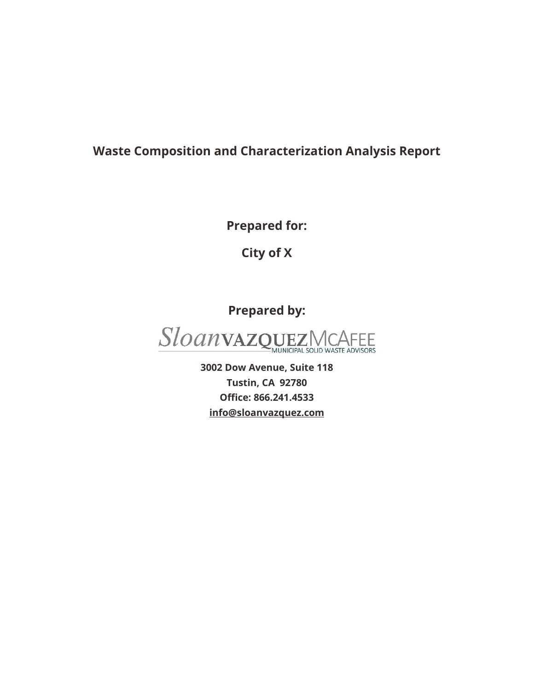## **Waste Composition and Characterization Analysis Report**

**Prepared for:**

**City of X**

**Prepared by:**



**3002 Dow Avenue, Suite 118 Tustin, CA 92780 Office: 866.241.4533 [info@sloanvazquez.com](mailto:info@sloanvazquez.com)**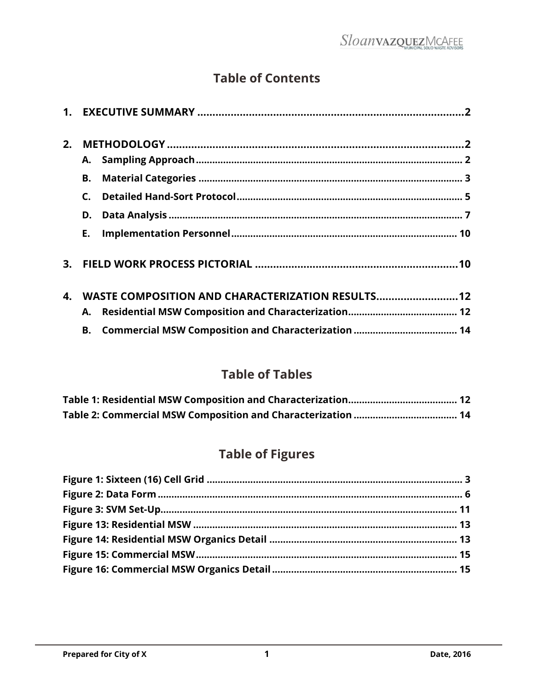## **Table of Contents**

| 2. |                                                   |  |
|----|---------------------------------------------------|--|
|    | А.                                                |  |
|    | В.                                                |  |
|    |                                                   |  |
|    | D.                                                |  |
|    | E.                                                |  |
|    |                                                   |  |
| 4. | WASTE COMPOSITION AND CHARACTERIZATION RESULTS 12 |  |
|    | Α.                                                |  |
|    | В.                                                |  |
|    |                                                   |  |

## **Table of Tables**

# **Table of Figures**

<span id="page-1-0"></span>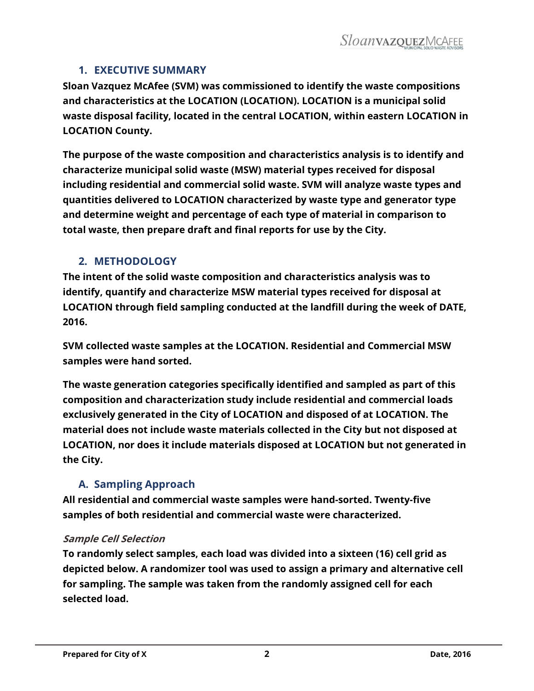#### **1. EXECUTIVE SUMMARY**

**Sloan Vazquez McAfee (SVM) was commissioned to identify the waste compositions and characteristics at the LOCATION (LOCATION). LOCATION is a municipal solid waste disposal facility, located in the central LOCATION, within eastern LOCATION in LOCATION County.** 

**The purpose of the waste composition and characteristics analysis is to identify and characterize municipal solid waste (MSW) material types received for disposal including residential and commercial solid waste. SVM will analyze waste types and quantities delivered to LOCATION characterized by waste type and generator type and determine weight and percentage of each type of material in comparison to total waste, then prepare draft and final reports for use by the City.**

#### <span id="page-2-0"></span>**2. METHODOLOGY**

**The intent of the solid waste composition and characteristics analysis was to identify, quantify and characterize MSW material types received for disposal at LOCATION through field sampling conducted at the landfill during the week of DATE, 2016.** 

**SVM collected waste samples at the LOCATION. Residential and Commercial MSW samples were hand sorted.** 

**The waste generation categories specifically identified and sampled as part of this composition and characterization study include residential and commercial loads exclusively generated in the City of LOCATION and disposed of at LOCATION. The material does not include waste materials collected in the City but not disposed at LOCATION, nor does it include materials disposed at LOCATION but not generated in the City.** 

## **A. Sampling Approach**

<span id="page-2-1"></span>**All residential and commercial waste samples were hand-sorted. Twenty-five samples of both residential and commercial waste were characterized.**

#### **Sample Cell Selection**

**To randomly select samples, each load was divided into a sixteen (16) cell grid as depicted below. A randomizer tool was used to assign a primary and alternative cell for sampling. The sample was taken from the randomly assigned cell for each selected load.**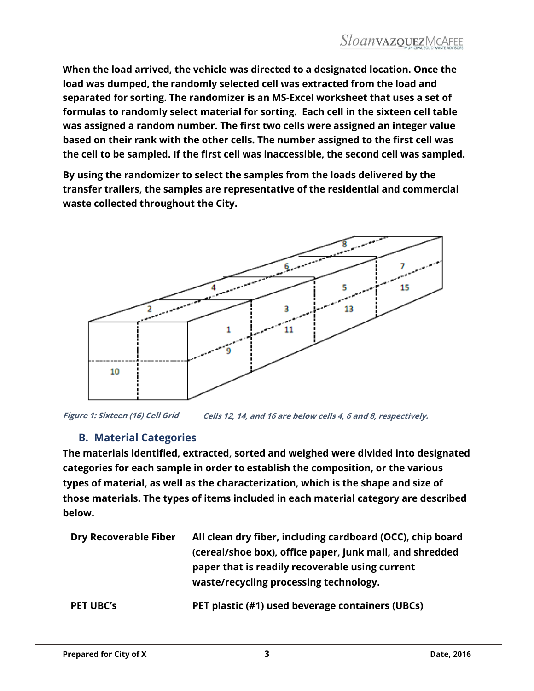**When the load arrived, the vehicle was directed to a designated location. Once the load was dumped, the randomly selected cell was extracted from the load and separated for sorting. The randomizer is an MS-Excel worksheet that uses a set of formulas to randomly select material for sorting. Each cell in the sixteen cell table was assigned a random number. The first two cells were assigned an integer value based on their rank with the other cells. The number assigned to the first cell was the cell to be sampled. If the first cell was inaccessible, the second cell was sampled.**

**By using the randomizer to select the samples from the loads delivered by the transfer trailers, the samples are representative of the residential and commercial waste collected throughout the City.** 



**Cells 12, 14, and 16 are below cells 4, 6 and 8, respectively. Figure 1: Sixteen (16) Cell Grid** 

## **B. Material Categories**

<span id="page-3-0"></span>**The materials identified, extracted, sorted and weighed were divided into designated categories for each sample in order to establish the composition, or the various types of material, as well as the characterization, which is the shape and size of those materials. The types of items included in each material category are described below.**

| <b>Dry Recoverable Fiber</b> | All clean dry fiber, including cardboard (OCC), chip board<br>(cereal/shoe box), office paper, junk mail, and shredded<br>paper that is readily recoverable using current<br>waste/recycling processing technology. |
|------------------------------|---------------------------------------------------------------------------------------------------------------------------------------------------------------------------------------------------------------------|
| <b>PET UBC's</b>             | PET plastic (#1) used beverage containers (UBCs)                                                                                                                                                                    |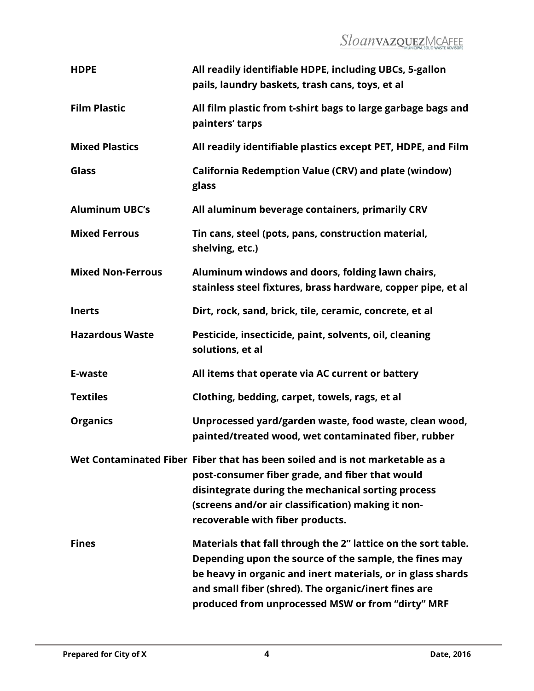# SloanvazquezMcAFEE

| <b>HDPE</b>              | All readily identifiable HDPE, including UBCs, 5-gallon<br>pails, laundry baskets, trash cans, toys, et al                                                                                                                                                                                          |
|--------------------------|-----------------------------------------------------------------------------------------------------------------------------------------------------------------------------------------------------------------------------------------------------------------------------------------------------|
| <b>Film Plastic</b>      | All film plastic from t-shirt bags to large garbage bags and<br>painters' tarps                                                                                                                                                                                                                     |
| <b>Mixed Plastics</b>    | All readily identifiable plastics except PET, HDPE, and Film                                                                                                                                                                                                                                        |
| Glass                    | California Redemption Value (CRV) and plate (window)<br>glass                                                                                                                                                                                                                                       |
| <b>Aluminum UBC's</b>    | All aluminum beverage containers, primarily CRV                                                                                                                                                                                                                                                     |
| <b>Mixed Ferrous</b>     | Tin cans, steel (pots, pans, construction material,<br>shelving, etc.)                                                                                                                                                                                                                              |
| <b>Mixed Non-Ferrous</b> | Aluminum windows and doors, folding lawn chairs,<br>stainless steel fixtures, brass hardware, copper pipe, et al                                                                                                                                                                                    |
| <b>Inerts</b>            | Dirt, rock, sand, brick, tile, ceramic, concrete, et al                                                                                                                                                                                                                                             |
| <b>Hazardous Waste</b>   | Pesticide, insecticide, paint, solvents, oil, cleaning<br>solutions, et al                                                                                                                                                                                                                          |
| E-waste                  | All items that operate via AC current or battery                                                                                                                                                                                                                                                    |
| <b>Textiles</b>          | Clothing, bedding, carpet, towels, rags, et al                                                                                                                                                                                                                                                      |
| <b>Organics</b>          | Unprocessed yard/garden waste, food waste, clean wood,<br>painted/treated wood, wet contaminated fiber, rubber                                                                                                                                                                                      |
|                          | Wet Contaminated Fiber Fiber that has been soiled and is not marketable as a<br>post-consumer fiber grade, and fiber that would<br>disintegrate during the mechanical sorting process<br>(screens and/or air classification) making it non-<br>recoverable with fiber products.                     |
| <b>Fines</b>             | Materials that fall through the 2" lattice on the sort table.<br>Depending upon the source of the sample, the fines may<br>be heavy in organic and inert materials, or in glass shards<br>and small fiber (shred). The organic/inert fines are<br>produced from unprocessed MSW or from "dirty" MRF |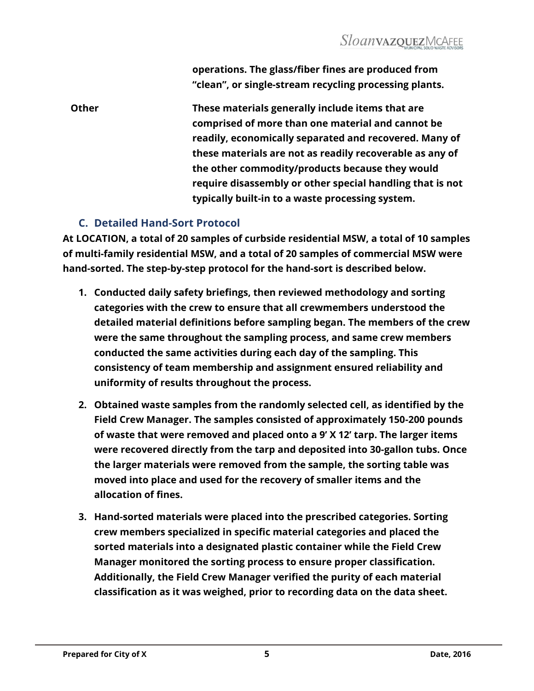**operations. The glass/fiber fines are produced from "clean", or single-stream recycling processing plants.**

**Other These materials generally include items that are comprised of more than one material and cannot be readily, economically separated and recovered. Many of these materials are not as readily recoverable as any of the other commodity/products because they would require disassembly or other special handling that is not typically built-in to a waste processing system.** 

## **C. Detailed Hand-Sort Protocol**

<span id="page-5-0"></span>**At LOCATION, a total of 20 samples of curbside residential MSW, a total of 10 samples of multi-family residential MSW, and a total of 20 samples of commercial MSW were hand-sorted. The step-by-step protocol for the hand-sort is described below.**

- **1. Conducted daily safety briefings, then reviewed methodology and sorting categories with the crew to ensure that all crewmembers understood the detailed material definitions before sampling began. The members of the crew were the same throughout the sampling process, and same crew members conducted the same activities during each day of the sampling. This consistency of team membership and assignment ensured reliability and uniformity of results throughout the process.**
- **2. Obtained waste samples from the randomly selected cell, as identified by the Field Crew Manager. The samples consisted of approximately 150-200 pounds of waste that were removed and placed onto a 9' X 12' tarp. The larger items were recovered directly from the tarp and deposited into 30-gallon tubs. Once the larger materials were removed from the sample, the sorting table was moved into place and used for the recovery of smaller items and the allocation of fines.**
- **3. Hand-sorted materials were placed into the prescribed categories. Sorting crew members specialized in specific material categories and placed the sorted materials into a designated plastic container while the Field Crew Manager monitored the sorting process to ensure proper classification. Additionally, the Field Crew Manager verified the purity of each material classification as it was weighed, prior to recording data on the data sheet.**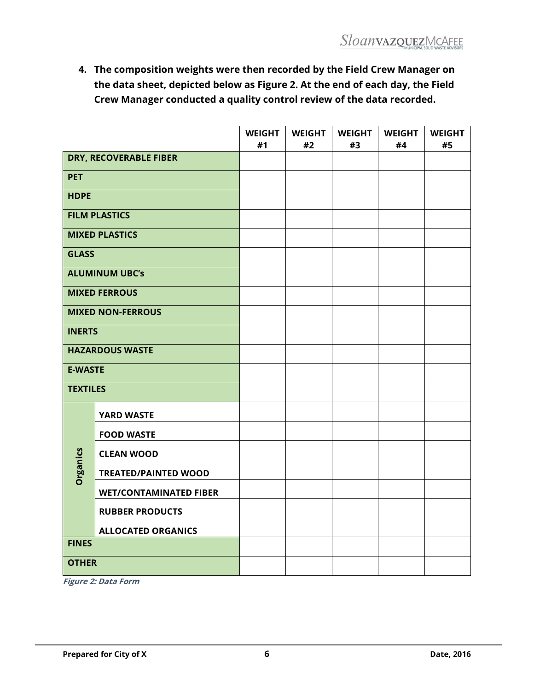**4. The composition weights were then recorded by the Field Crew Manager on the data sheet, depicted below as Figure 2. At the end of each day, the Field Crew Manager conducted a quality control review of the data recorded.**

|                          |                               | <b>WEIGHT</b><br>#1 | <b>WEIGHT</b><br>#2 | <b>WEIGHT</b><br>#3 | <b>WEIGHT</b><br>#4 | <b>WEIGHT</b><br>#5 |
|--------------------------|-------------------------------|---------------------|---------------------|---------------------|---------------------|---------------------|
| DRY, RECOVERABLE FIBER   |                               |                     |                     |                     |                     |                     |
| <b>PET</b>               |                               |                     |                     |                     |                     |                     |
| <b>HDPE</b>              |                               |                     |                     |                     |                     |                     |
|                          | <b>FILM PLASTICS</b>          |                     |                     |                     |                     |                     |
|                          | <b>MIXED PLASTICS</b>         |                     |                     |                     |                     |                     |
| <b>GLASS</b>             |                               |                     |                     |                     |                     |                     |
|                          | <b>ALUMINUM UBC's</b>         |                     |                     |                     |                     |                     |
|                          | <b>MIXED FERROUS</b>          |                     |                     |                     |                     |                     |
| <b>MIXED NON-FERROUS</b> |                               |                     |                     |                     |                     |                     |
| <b>INERTS</b>            |                               |                     |                     |                     |                     |                     |
| <b>HAZARDOUS WASTE</b>   |                               |                     |                     |                     |                     |                     |
| <b>E-WASTE</b>           |                               |                     |                     |                     |                     |                     |
| <b>TEXTILES</b>          |                               |                     |                     |                     |                     |                     |
|                          | <b>YARD WASTE</b>             |                     |                     |                     |                     |                     |
|                          | <b>FOOD WASTE</b>             |                     |                     |                     |                     |                     |
|                          | <b>CLEAN WOOD</b>             |                     |                     |                     |                     |                     |
| Organics                 | <b>TREATED/PAINTED WOOD</b>   |                     |                     |                     |                     |                     |
|                          | <b>WET/CONTAMINATED FIBER</b> |                     |                     |                     |                     |                     |
|                          | <b>RUBBER PRODUCTS</b>        |                     |                     |                     |                     |                     |
|                          | <b>ALLOCATED ORGANICS</b>     |                     |                     |                     |                     |                     |
| <b>FINES</b>             |                               |                     |                     |                     |                     |                     |
| <b>OTHER</b>             |                               |                     |                     |                     |                     |                     |

<span id="page-6-0"></span>**Figure 2: Data Form**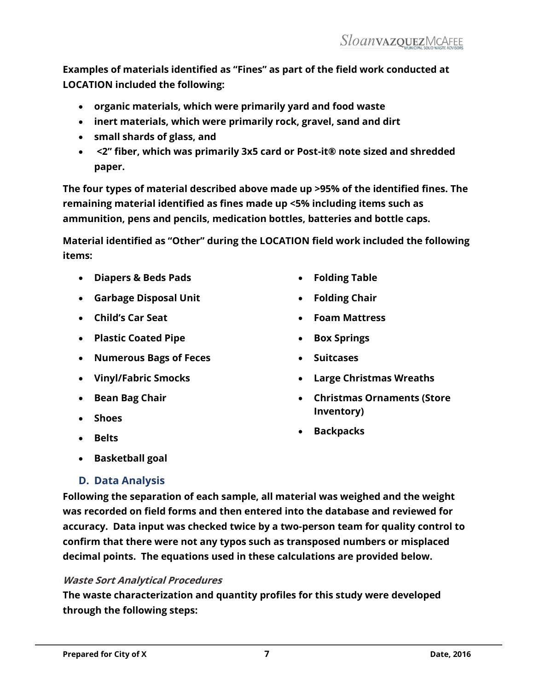**Examples of materials identified as "Fines" as part of the field work conducted at LOCATION included the following:** 

- **organic materials, which were primarily yard and food waste**
- **inert materials, which were primarily rock, gravel, sand and dirt**
- **small shards of glass, and**
- **<2" fiber, which was primarily 3x5 card or Post-it® note sized and shredded paper.**

**The four types of material described above made up >95% of the identified fines. The remaining material identified as fines made up <5% including items such as ammunition, pens and pencils, medication bottles, batteries and bottle caps.** 

**Material identified as "Other" during the LOCATION field work included the following items:**

- **Diapers & Beds Pads**
- **Garbage Disposal Unit**
- **Child's Car Seat**
- **Plastic Coated Pipe**
- **Numerous Bags of Feces**
- **Vinyl/Fabric Smocks**
- **•** Bean Bag Chair
- **Shoes**
- **Belts**
- **Folding Table**
- **Folding Chair**
- **Foam Mattress**
- **Box Springs**
- **Suitcases**
- **Large Christmas Wreaths**
- **Christmas Ornaments (Store Inventory)**
- **Backpacks**

**Basketball goal**

## <span id="page-7-0"></span>**D. Data Analysis**

**Following the separation of each sample, all material was weighed and the weight was recorded on field forms and then entered into the database and reviewed for accuracy. Data input was checked twice by a two-person team for quality control to confirm that there were not any typos such as transposed numbers or misplaced decimal points. The equations used in these calculations are provided below.**

#### **Waste Sort Analytical Procedures**

**The waste characterization and quantity profiles for this study were developed through the following steps:**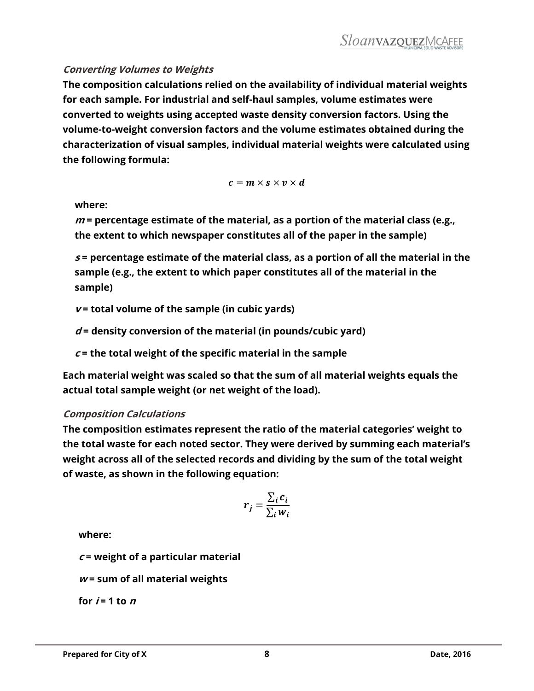#### **Converting Volumes to Weights**

**The composition calculations relied on the availability of individual material weights for each sample. For industrial and self-haul samples, volume estimates were converted to weights using accepted waste density conversion factors. Using the volume-to-weight conversion factors and the volume estimates obtained during the characterization of visual samples, individual material weights were calculated using the following formula:**

$$
c = m \times s \times v \times d
$$

#### **where:**

**<sup>m</sup>= percentage estimate of the material, as a portion of the material class (e.g., the extent to which newspaper constitutes all of the paper in the sample)**

**<sup>s</sup> = percentage estimate of the material class, as a portion of all the material in the sample (e.g., the extent to which paper constitutes all of the material in the sample)**

**<sup>v</sup> = total volume of the sample (in cubic yards)**

**d = density conversion of the material (in pounds/cubic yard)**

**<sup>c</sup>= the total weight of the specific material in the sample**

**Each material weight was scaled so that the sum of all material weights equals the actual total sample weight (or net weight of the load).**

#### **Composition Calculations**

**The composition estimates represent the ratio of the material categories' weight to the total waste for each noted sector. They were derived by summing each material's weight across all of the selected records and dividing by the sum of the total weight of waste, as shown in the following equation:**

$$
r_j = \frac{\sum_i c_i}{\sum_i w_i}
$$

**where:**

**<sup>c</sup>= weight of a particular material**

**<sup>w</sup> = sum of all material weights**

for  $i = 1$  to  $n$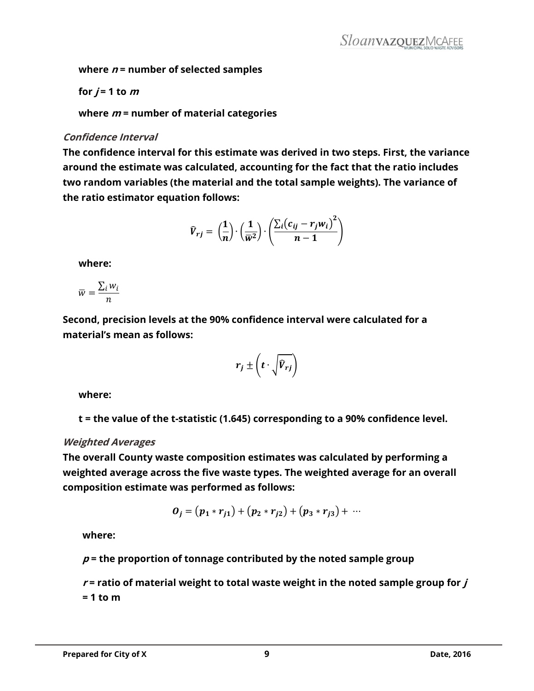**where <sup>n</sup> = number of selected samples**

for 
$$
j = 1
$$
 to  $m$ 

**where <sup>m</sup> = number of material categories**

#### **Confidence Interval**

**The confidence interval for this estimate was derived in two steps. First, the variance around the estimate was calculated, accounting for the fact that the ratio includes two random variables (the material and the total sample weights). The variance of the ratio estimator equation follows:**

$$
\widehat{V}_{rj} = \left(\frac{1}{n}\right) \cdot \left(\frac{1}{\overline{w}^2}\right) \cdot \left(\frac{\sum_i (c_{ij} - r_j w_i)^2}{n - 1}\right)
$$

**where:**

$$
\overline{w} = \frac{\sum_i w_i}{n}
$$

**Second, precision levels at the 90% confidence interval were calculated for a material's mean as follows:**

$$
r_j \pm \left(t \cdot \sqrt{\widehat{V}_{rj}}\right)
$$

**where:**

**t = the value of the t-statistic (1.645) corresponding to a 90% confidence level.**

#### **Weighted Averages**

**The overall County waste composition estimates was calculated by performing a weighted average across the five waste types. The weighted average for an overall composition estimate was performed as follows:**

$$
O_j = (p_1 * r_{j1}) + (p_2 * r_{j2}) + (p_3 * r_{j3}) + \cdots
$$

**where:**

**p = the proportion of tonnage contributed by the noted sample group**

 $r$  = ratio of material weight to total waste weight in the noted sample group for  $j$ **= 1 to m**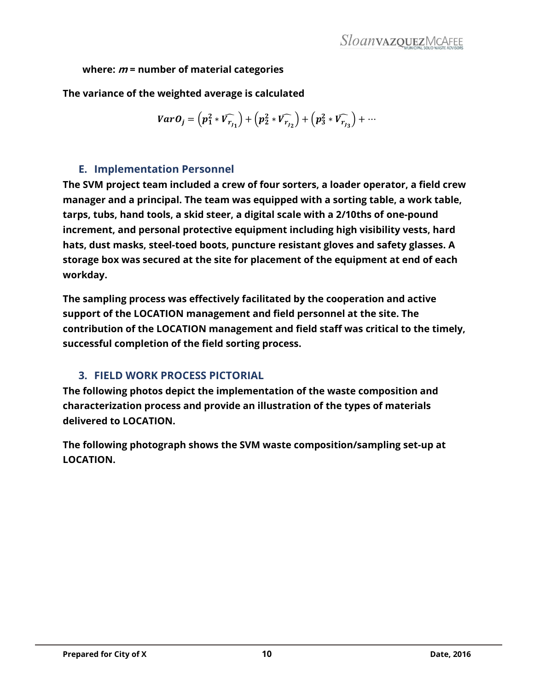**where: <sup>m</sup> = number of material categories**

**The variance of the weighted average is calculated**

$$
VarO_j = (p_1^2 * V_{r_{j_1}}) + (p_2^2 * V_{r_{j_2}}) + (p_3^2 * V_{r_{j_3}}) + \cdots
$$

## **E. Implementation Personnel**

<span id="page-10-0"></span>**The SVM project team included a crew of four sorters, a loader operator, a field crew manager and a principal. The team was equipped with a sorting table, a work table, tarps, tubs, hand tools, a skid steer, a digital scale with a 2/10ths of one-pound increment, and personal protective equipment including high visibility vests, hard hats, dust masks, steel-toed boots, puncture resistant gloves and safety glasses. A storage box was secured at the site for placement of the equipment at end of each workday.**

**The sampling process was effectively facilitated by the cooperation and active support of the LOCATION management and field personnel at the site. The contribution of the LOCATION management and field staff was critical to the timely, successful completion of the field sorting process.** 

## <span id="page-10-1"></span>**3. FIELD WORK PROCESS PICTORIAL**

**The following photos depict the implementation of the waste composition and characterization process and provide an illustration of the types of materials delivered to LOCATION.** 

**The following photograph shows the SVM waste composition/sampling set-up at LOCATION.**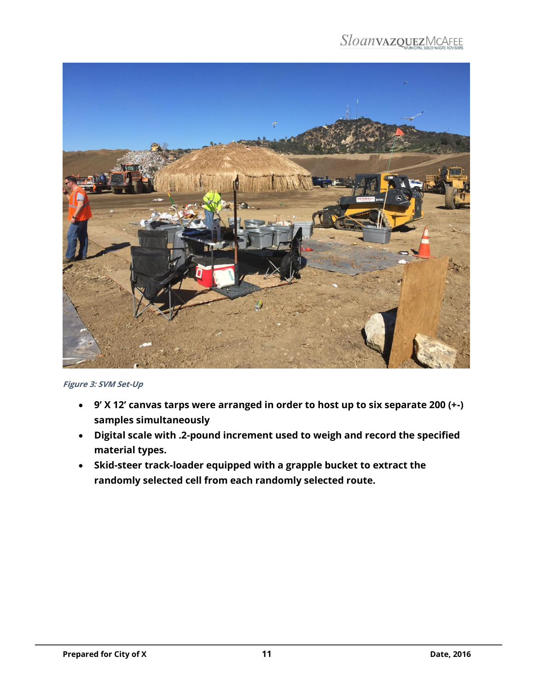

**Figure 3: SVM Set-Up**

- <span id="page-11-1"></span> **9' X 12' canvas tarps were arranged in order to host up to six separate 200 (+-) samples simultaneously**
- **Digital scale with .2-pound increment used to weigh and record the specified material types.**
- <span id="page-11-0"></span> **Skid-steer track-loader equipped with a grapple bucket to extract the randomly selected cell from each randomly selected route.**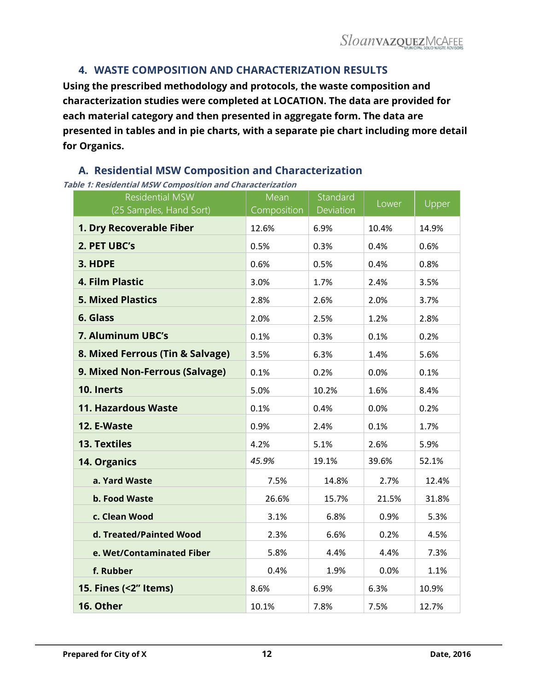## **4. WASTE COMPOSITION AND CHARACTERIZATION RESULTS**

**Using the prescribed methodology and protocols, the waste composition and characterization studies were completed at LOCATION. The data are provided for each material category and then presented in aggregate form. The data are presented in tables and in pie charts, with a separate pie chart including more detail for Organics.** 

## <span id="page-12-0"></span>**A. Residential MSW Composition and Characterization**

<span id="page-12-1"></span>**Table 1: Residential MSW Composition and Characterization**

| <b>Residential MSW</b><br>(25 Samples, Hand Sort) | Mean<br>Composition | Standard<br>Deviation | Lower | Upper |
|---------------------------------------------------|---------------------|-----------------------|-------|-------|
| 1. Dry Recoverable Fiber                          | 12.6%               | 6.9%                  | 10.4% | 14.9% |
| 2. PET UBC's                                      | 0.5%                | 0.3%                  | 0.4%  | 0.6%  |
| 3. HDPE                                           | 0.6%                | 0.5%                  | 0.4%  | 0.8%  |
| 4. Film Plastic                                   | 3.0%                | 1.7%                  | 2.4%  | 3.5%  |
| <b>5. Mixed Plastics</b>                          | 2.8%                | 2.6%                  | 2.0%  | 3.7%  |
| 6. Glass                                          | 2.0%                | 2.5%                  | 1.2%  | 2.8%  |
| <b>7. Aluminum UBC's</b>                          | 0.1%                | 0.3%                  | 0.1%  | 0.2%  |
| 8. Mixed Ferrous (Tin & Salvage)                  | 3.5%                | 6.3%                  | 1.4%  | 5.6%  |
| 9. Mixed Non-Ferrous (Salvage)                    | 0.1%                | 0.2%                  | 0.0%  | 0.1%  |
| 10. Inerts                                        | 5.0%                | 10.2%                 | 1.6%  | 8.4%  |
| <b>11. Hazardous Waste</b>                        | 0.1%                | 0.4%                  | 0.0%  | 0.2%  |
| 12. E-Waste                                       | 0.9%                | 2.4%                  | 0.1%  | 1.7%  |
| <b>13. Textiles</b>                               | 4.2%                | 5.1%                  | 2.6%  | 5.9%  |
| 14. Organics                                      | 45.9%               | 19.1%                 | 39.6% | 52.1% |
| a. Yard Waste                                     | 7.5%                | 14.8%                 | 2.7%  | 12.4% |
| <b>b. Food Waste</b>                              | 26.6%               | 15.7%                 | 21.5% | 31.8% |
| c. Clean Wood                                     | 3.1%                | 6.8%                  | 0.9%  | 5.3%  |
| d. Treated/Painted Wood                           | 2.3%                | 6.6%                  | 0.2%  | 4.5%  |
| e. Wet/Contaminated Fiber                         | 5.8%                | 4.4%                  | 4.4%  | 7.3%  |
| f. Rubber                                         | 0.4%                | 1.9%                  | 0.0%  | 1.1%  |
| 15. Fines (<2" Items)                             | 8.6%                | 6.9%                  | 6.3%  | 10.9% |
| 16. Other                                         | 10.1%               | 7.8%                  | 7.5%  | 12.7% |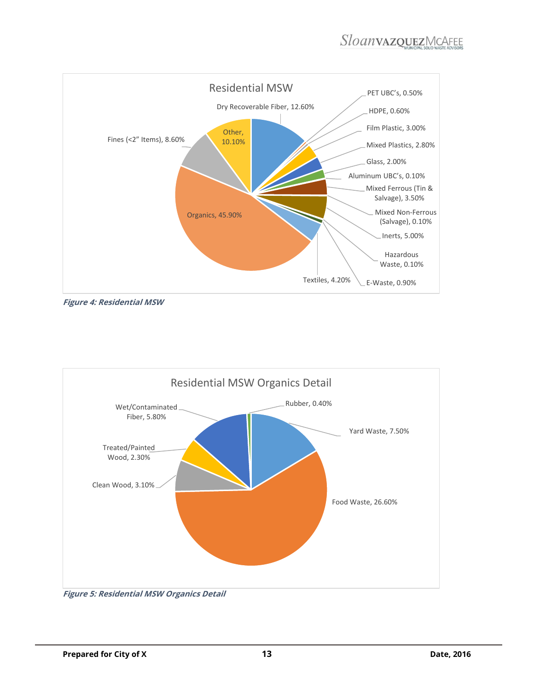

**Figure 4: Residential MSW**



<span id="page-13-0"></span>**Figure 5: Residential MSW Organics Detail**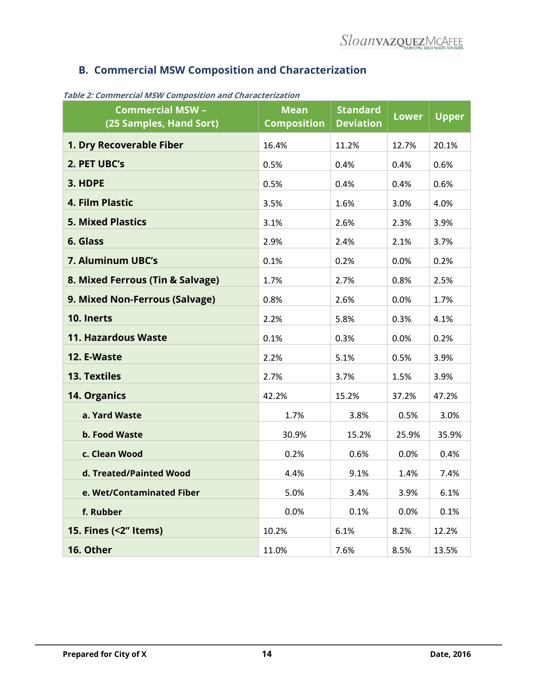## <span id="page-14-0"></span>**B. Commercial MSW Composition and Characterization**

| <b>Commercial MSW -</b><br>(25 Samples, Hand Sort) | <b>Mean</b><br><b>Composition</b> | <b>Standard</b><br><b>Deviation</b> | <b>Lower</b> | <b>Upper</b> |
|----------------------------------------------------|-----------------------------------|-------------------------------------|--------------|--------------|
| 1. Dry Recoverable Fiber                           | 16.4%                             | 11.2%                               | 12.7%        | 20.1%        |
| 2. PET UBC's                                       | 0.5%                              | 0.4%                                | 0.4%         | 0.6%         |
| 3. HDPE                                            | 0.5%                              | 0.4%                                | 0.4%         | 0.6%         |
| 4. Film Plastic                                    | 3.5%                              | 1.6%                                | 3.0%         | 4.0%         |
| <b>5. Mixed Plastics</b>                           | 3.1%                              | 2.6%                                | 2.3%         | 3.9%         |
| 6. Glass                                           | 2.9%                              | 2.4%                                | 2.1%         | 3.7%         |
| 7. Aluminum UBC's                                  | 0.1%                              | 0.2%                                | 0.0%         | 0.2%         |
| 8. Mixed Ferrous (Tin & Salvage)                   | 1.7%                              | 2.7%                                | 0.8%         | 2.5%         |
| 9. Mixed Non-Ferrous (Salvage)                     | 0.8%                              | 2.6%                                | 0.0%         | 1.7%         |
| 10. Inerts                                         | 2.2%                              | 5.8%                                | 0.3%         | 4.1%         |
| <b>11. Hazardous Waste</b>                         | 0.1%                              | 0.3%                                | 0.0%         | 0.2%         |
| 12. E-Waste                                        | 2.2%                              | 5.1%                                | 0.5%         | 3.9%         |
| <b>13. Textiles</b>                                | 2.7%                              | 3.7%                                | 1.5%         | 3.9%         |
| 14. Organics                                       | 42.2%                             | 15.2%                               | 37.2%        | 47.2%        |
| a. Yard Waste                                      | 1.7%                              | 3.8%                                | 0.5%         | 3.0%         |
| b. Food Waste                                      | 30.9%                             | 15.2%                               | 25.9%        | 35.9%        |
| c. Clean Wood                                      | 0.2%                              | 0.6%                                | 0.0%         | 0.4%         |
| d. Treated/Painted Wood                            | 4.4%                              | 9.1%                                | 1.4%         | 7.4%         |
| e. Wet/Contaminated Fiber                          | 5.0%                              | 3.4%                                | 3.9%         | 6.1%         |
| f. Rubber                                          | 0.0%                              | 0.1%                                | 0.0%         | 0.1%         |
| 15. Fines (<2" Items)                              | 10.2%                             | 6.1%                                | 8.2%         | 12.2%        |
| 16. Other                                          | 11.0%                             | 7.6%                                | 8.5%         | 13.5%        |

<span id="page-14-1"></span>**Table 2: Commercial MSW Composition and Characterization**